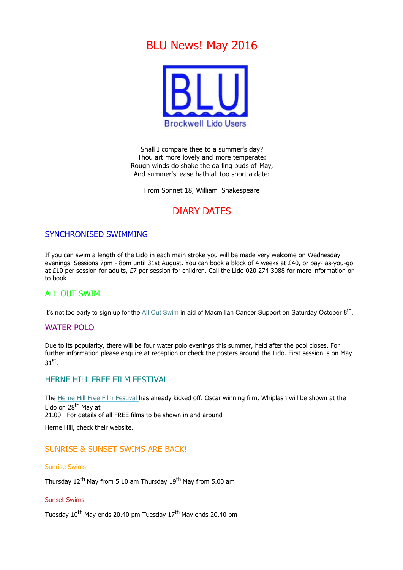# BLU News! May 2016



Shall I compare thee to a summer's day? Thou art more lovely and more temperate: Rough winds do shake the darling buds of May, And summer's lease hath all too short a date:

From Sonnet 18, William Shakespeare

# DIARY DATES

## SYNCHRONISED SWIMMING

If you can swim a length of the Lido in each main stroke you will be made very welcome on Wednesday evenings. Sessions 7pm - 8pm until 31st August. You can book a block of 4 weeks at £40, or pay- as-you-go at £10 per session for adults, £7 per session for children. Call the Lido 020 274 3088 for more information or to book

### **ALL OUT SWIM**

It's not too early to sign up for the All Out Swim in aid of Macmillan Cancer Support on Saturday October 8<sup>th</sup>.

### WATER POLO

Due to its popularity, there will be four water polo evenings this summer, held after the pool closes. For further information please enquire at reception or check the posters around the Lido. First session is on May 31st.

### HERNE HILL FREE FILM FESTIVAL

The Herne Hill Free Film Festival has already kicked off. Oscar winning film, Whiplash will be shown at the Lido on 28<sup>th</sup> May at 21.00. For details of all FREE films to be shown in and around

Herne Hill, check their website.

### SUNRISE & SUNSET SWIMS ARE BACK!

#### Sunrise Swims

Thursday  $12^{th}$  May from 5.10 am Thursday  $19^{th}$  May from 5.00 am

#### Sunset Swims

Tuesday 10<sup>th</sup> May ends 20.40 pm Tuesday 17<sup>th</sup> May ends 20.40 pm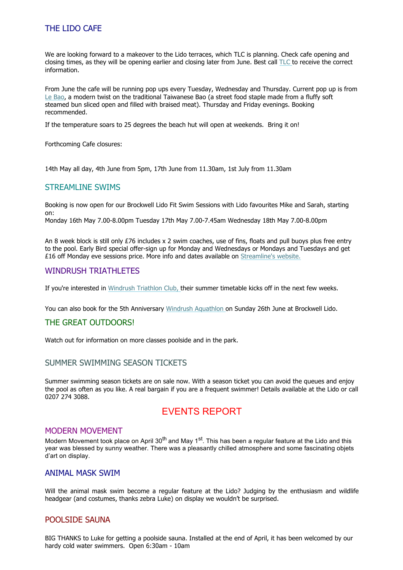# THE LIDO CAFE

We are looking forward to a makeover to the Lido terraces, which TLC is planning. Check cafe opening and closing times, as they will be opening earlier and closing later from June. Best call TLC to receive the correct information.

From June the cafe will be running pop ups every Tuesday, Wednesday and Thursday. Current pop up is from Le Bao, a modern twist on the traditional Taiwanese Bao (a street food staple made from a fluffy soft steamed bun sliced open and filled with braised meat). Thursday and Friday evenings. Booking recommended.

If the temperature soars to 25 degrees the beach hut will open at weekends. Bring it on!

Forthcoming Cafe closures:

14th May all day, 4th June from 5pm, 17th June from 11.30am, 1st July from 11.30am

### STREAMLINE SWIMS

Booking is now open for our Brockwell Lido Fit Swim Sessions with Lido favourites Mike and Sarah, starting on:

Monday 16th May 7.00-8.00pm Tuesday 17th May 7.00-7.45am Wednesday 18th May 7.00-8.00pm

An 8 week block is still only £76 includes x 2 swim coaches, use of fins, floats and pull buoys plus free entry to the pool. Early Bird special offer-sign up for Monday and Wednesdays or Mondays and Tuesdays and get £16 off Monday eve sessions price. More info and dates available on Streamline's website.

### WINDRUSH TRIATHLETES

If you're interested in Windrush Triathlon Club, their summer timetable kicks off in the next few weeks.

You can also book for the 5th Anniversary Windrush Aquathlon on Sunday 26th June at Brockwell Lido.

### THE GREAT OUTDOORS!

Watch out for information on more classes poolside and in the park.

### SUMMER SWIMMING SEASON TICKETS

Summer swimming season tickets are on sale now. With a season ticket you can avoid the queues and enjoy the pool as often as you like. A real bargain if you are a frequent swimmer! Details available at the Lido or call 0207 274 3088.

# EVENTS REPORT

### MODERN MOVEMENT

Modern Movement took place on April 30<sup>th</sup> and May 1<sup>st</sup>. This has been a regular feature at the Lido and this year was blessed by sunny weather. There was a pleasantly chilled atmosphere and some fascinating objets d'art on display.

### ANIMAL MASK SWIM

Will the animal mask swim become a regular feature at the Lido? Judging by the enthusiasm and wildlife headgear (and costumes, thanks zebra Luke) on display we wouldn't be surprised.

### POOLSIDE SAUNA

BIG THANKS to Luke for getting a poolside sauna. Installed at the end of April, it has been welcomed by our hardy cold water swimmers. Open 6:30am - 10am